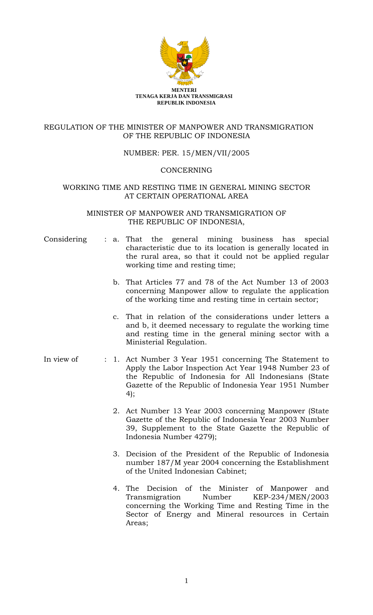

# REGULATION OF THE MINISTER OF MANPOWER AND TRANSMIGRATION OF THE REPUBLIC OF INDONESIA

# NUMBER: PER. 15/MEN/VII/2005

## **CONCERNING**

# WORKING TIME AND RESTING TIME IN GENERAL MINING SECTOR AT CERTAIN OPERATIONAL AREA

# MINISTER OF MANPOWER AND TRANSMIGRATION OF THE REPUBLIC OF INDONESIA,

- Considering : a. That the general mining business has special characteristic due to its location is generally located in the rural area, so that it could not be applied regular working time and resting time;
	- b. That Articles 77 and 78 of the Act Number 13 of 2003 concerning Manpower allow to regulate the application of the working time and resting time in certain sector;
	- c. That in relation of the considerations under letters a and b, it deemed necessary to regulate the working time and resting time in the general mining sector with a Ministerial Regulation.
- In view of : 1. Act Number 3 Year 1951 concerning The Statement to Apply the Labor Inspection Act Year 1948 Number 23 of the Republic of Indonesia for All Indonesians (State Gazette of the Republic of Indonesia Year 1951 Number 4);
	- 2. Act Number 13 Year 2003 concerning Manpower (State Gazette of the Republic of Indonesia Year 2003 Number 39, Supplement to the State Gazette the Republic of Indonesia Number 4279);
	- 3. Decision of the President of the Republic of Indonesia number 187/M year 2004 concerning the Establishment of the United Indonesian Cabinet;
	- 4. The Decision of the Minister of Manpower and Transmigration Number KEP-234/MEN/2003 concerning the Working Time and Resting Time in the Sector of Energy and Mineral resources in Certain Areas;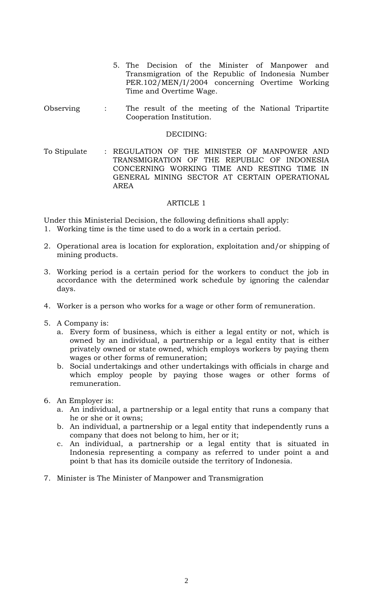- 5. The Decision of the Minister of Manpower and Transmigration of the Republic of Indonesia Number PER.102/MEN/I/2004 concerning Overtime Working Time and Overtime Wage.
- Observing : The result of the meeting of the National Tripartite Cooperation Institution.

#### DECIDING:

To Stipulate : REGULATION OF THE MINISTER OF MANPOWER AND TRANSMIGRATION OF THE REPUBLIC OF INDONESIA CONCERNING WORKING TIME AND RESTING TIME IN GENERAL MINING SECTOR AT CERTAIN OPERATIONAL AREA

## ARTICLE 1

Under this Ministerial Decision, the following definitions shall apply:

- 1. Working time is the time used to do a work in a certain period.
- 2. Operational area is location for exploration, exploitation and/or shipping of mining products.
- 3. Working period is a certain period for the workers to conduct the job in accordance with the determined work schedule by ignoring the calendar days.
- 4. Worker is a person who works for a wage or other form of remuneration.
- 5. A Company is:
	- a. Every form of business, which is either a legal entity or not, which is owned by an individual, a partnership or a legal entity that is either privately owned or state owned, which employs workers by paying them wages or other forms of remuneration;
	- b. Social undertakings and other undertakings with officials in charge and which employ people by paying those wages or other forms of remuneration.
- 6. An Employer is:
	- a. An individual, a partnership or a legal entity that runs a company that he or she or it owns;
	- b. An individual, a partnership or a legal entity that independently runs a company that does not belong to him, her or it;
	- c. An individual, a partnership or a legal entity that is situated in Indonesia representing a company as referred to under point a and point b that has its domicile outside the territory of Indonesia.
- 7. Minister is The Minister of Manpower and Transmigration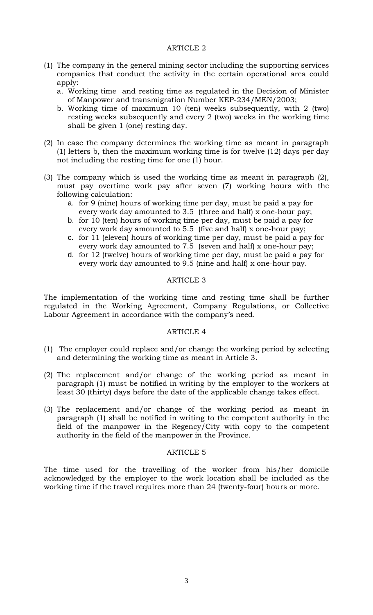# ARTICLE 2

- (1) The company in the general mining sector including the supporting services companies that conduct the activity in the certain operational area could apply:
	- a. Working time and resting time as regulated in the Decision of Minister of Manpower and transmigration Number KEP-234/MEN/2003;
	- b. Working time of maximum 10 (ten) weeks subsequently, with 2 (two) resting weeks subsequently and every 2 (two) weeks in the working time shall be given 1 (one) resting day.
- (2) In case the company determines the working time as meant in paragraph (1) letters b, then the maximum working time is for twelve (12) days per day not including the resting time for one (1) hour.
- (3) The company which is used the working time as meant in paragraph (2), must pay overtime work pay after seven (7) working hours with the following calculation:
	- a. for 9 (nine) hours of working time per day, must be paid a pay for every work day amounted to 3.5 (three and half) x one-hour pay;
	- b. for 10 (ten) hours of working time per day, must be paid a pay for every work day amounted to 5.5 (five and half) x one-hour pay;
	- c. for 11 (eleven) hours of working time per day, must be paid a pay for every work day amounted to 7.5 (seven and half) x one-hour pay;
	- d. for 12 (twelve) hours of working time per day, must be paid a pay for every work day amounted to 9.5 (nine and half) x one-hour pay.

#### ARTICLE 3

The implementation of the working time and resting time shall be further regulated in the Working Agreement, Company Regulations, or Collective Labour Agreement in accordance with the company's need.

## ARTICLE 4

- (1) The employer could replace and/or change the working period by selecting and determining the working time as meant in Article 3.
- (2) The replacement and/or change of the working period as meant in paragraph (1) must be notified in writing by the employer to the workers at least 30 (thirty) days before the date of the applicable change takes effect.
- (3) The replacement and/or change of the working period as meant in paragraph (1) shall be notified in writing to the competent authority in the field of the manpower in the Regency/City with copy to the competent authority in the field of the manpower in the Province.

#### ARTICLE 5

The time used for the travelling of the worker from his/her domicile acknowledged by the employer to the work location shall be included as the working time if the travel requires more than 24 (twenty-four) hours or more.